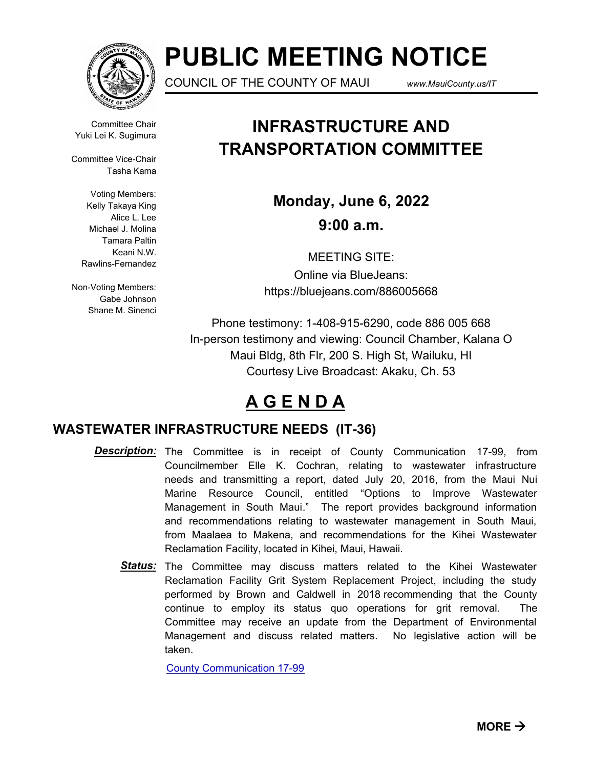

# **PUBLIC MEETING NOTICE**

COUNCIL OF THE COUNTY OF MAUI *www.MauiCounty.us/IT*

Committee Chair Yuki Lei K. Sugimura

Committee Vice-Chair Tasha Kama

> Voting Members: Kelly Takaya King Alice L. Lee Michael J. Molina Tamara Paltin Keani N.W. Rawlins-Fernandez

Non-Voting Members: Gabe Johnson Shane M. Sinenci

## **INFRASTRUCTURE AND TRANSPORTATION COMMITTEE**

**Monday, June 6, 2022 9:00 a.m.**

MEETING SITE: Online via BlueJeans: https://bluejeans.com/886005668

Phone testimony: 1-408-915-6290, code 886 005 668 In-person testimony and viewing: Council Chamber, Kalana O Maui Bldg, 8th Flr, 200 S. High St, Wailuku, HI Courtesy Live Broadcast: Akaku, Ch. 53

## **A G E N D A**

### **WASTEWATER INFRASTRUCTURE NEEDS (IT-36)**

- **Description:** The Committee is in receipt of County Communication 17-99, from Councilmember Elle K. Cochran, relating to wastewater infrastructure needs and transmitting a report, dated July 20, 2016, from the Maui Nui Marine Resource Council, entitled "Options to Improve Wastewater Management in South Maui." The report provides background information and recommendations relating to wastewater management in South Maui, from Maalaea to Makena, and recommendations for the Kihei Wastewater Reclamation Facility, located in Kihei, Maui, Hawaii.
	- Status: The Committee may discuss matters related to the Kihei Wastewater Reclamation Facility Grit System Replacement Project, including the study performed by Brown and Caldwell in 2018 recommending that the County continue to employ its status quo operations for grit removal. The Committee may receive an update from the Department of Environmental Management and discuss related matters. No legislative action will be taken.

[County Communication 17-99](http://mauicounty.legistar.com/gateway.aspx?M=F&ID=de279aed-7cec-4f8a-bab4-f15cda28c29a.pdf)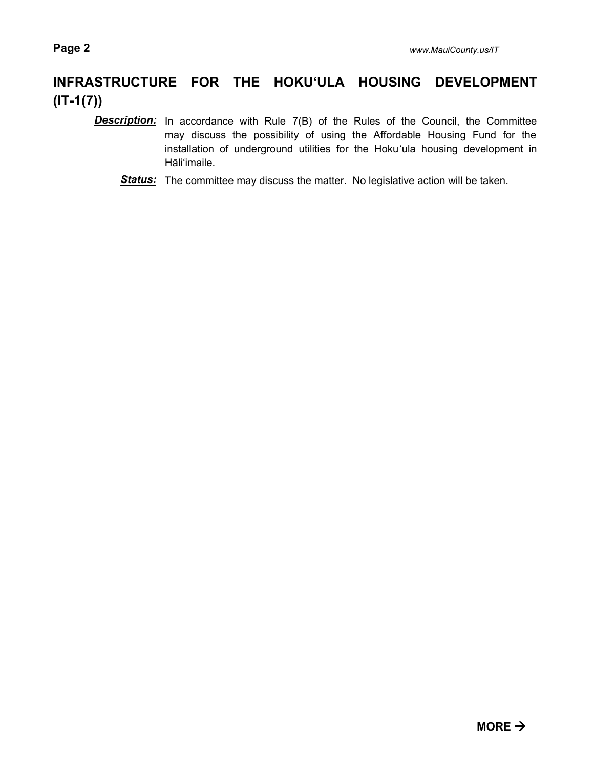### **INFRASTRUCTURE FOR THE HOKU'ULA HOUSING DEVELOPMENT (IT-1(7))**

- **Description:** In accordance with Rule 7(B) of the Rules of the Council, the Committee may discuss the possibility of using the Affordable Housing Fund for the installation of underground utilities for the Hoku'ula housing development in Hāli'imaile.
	- **Status:** The committee may discuss the matter. No legislative action will be taken.